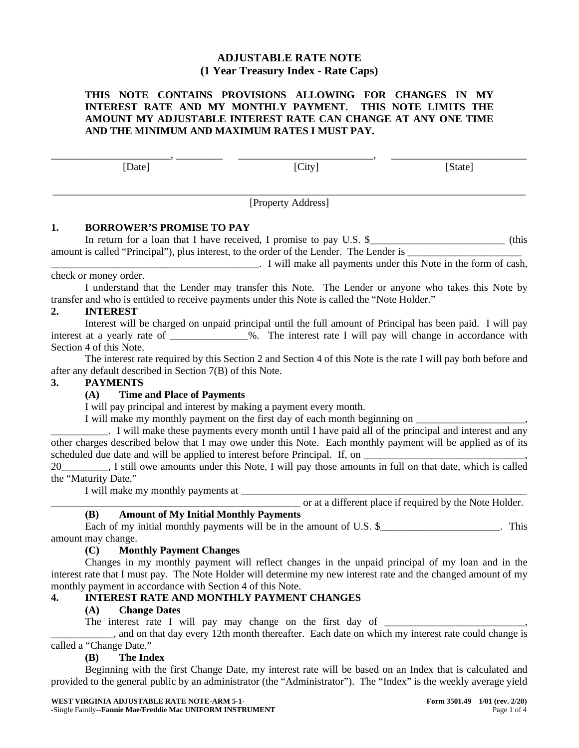# **ADJUSTABLE RATE NOTE (1 Year Treasury Index - Rate Caps)**

### **THIS NOTE CONTAINS PROVISIONS ALLOWING FOR CHANGES IN MY INTEREST RATE AND MY MONTHLY PAYMENT. THIS NOTE LIMITS THE AMOUNT MY ADJUSTABLE INTEREST RATE CAN CHANGE AT ANY ONE TIME AND THE MINIMUM AND MAXIMUM RATES I MUST PAY.**

\_\_\_\_\_\_\_\_\_\_\_\_\_\_\_\_\_\_\_\_\_\_\_, \_\_\_\_\_\_\_\_\_ \_\_\_\_\_\_\_\_\_\_\_\_\_\_\_\_\_\_\_\_\_\_\_\_\_\_, \_\_\_\_\_\_\_\_\_\_\_\_\_\_\_\_\_\_\_\_\_\_\_\_\_\_

[Date] [City] [State]

\_\_\_\_\_\_\_\_\_\_\_\_\_\_\_\_\_\_\_\_\_\_\_\_\_\_\_\_\_\_\_\_\_\_\_\_\_\_\_\_\_\_\_\_\_\_\_\_\_\_\_\_\_\_\_\_\_\_\_\_\_\_\_\_\_\_\_\_\_\_\_\_\_\_\_\_\_\_\_\_\_\_\_\_\_\_\_\_\_\_\_ [Property Address]

### **1. BORROWER'S PROMISE TO PAY**

In return for a loan that I have received, I promise to pay U.S. \$\_\_\_\_\_\_\_\_\_\_\_\_\_\_\_\_\_\_\_\_\_\_\_\_\_\_\_\_\_\_\_ (this amount is called "Principal"), plus interest, to the order of the Lender. The Lender is \_\_\_\_\_\_\_\_\_\_\_\_\_\_\_\_\_\_\_\_\_\_

\_\_\_\_\_\_\_\_\_\_\_\_\_\_\_\_\_\_\_\_\_\_\_\_\_\_\_\_\_\_\_\_\_\_\_\_\_\_\_\_. I will make all payments under this Note in the form of cash, check or money order.

I understand that the Lender may transfer this Note. The Lender or anyone who takes this Note by transfer and who is entitled to receive payments under this Note is called the "Note Holder."

# **2. INTEREST**

Interest will be charged on unpaid principal until the full amount of Principal has been paid. I will pay interest at a yearly rate of \_\_\_\_\_\_\_\_\_\_\_\_\_\_\_%. The interest rate I will pay will change in accordance with Section 4 of this Note.

The interest rate required by this Section 2 and Section 4 of this Note is the rate I will pay both before and after any default described in Section 7(B) of this Note.

### **3. PAYMENTS**

# **(A) Time and Place of Payments**

I will pay principal and interest by making a payment every month.

I will make my monthly payment on the first day of each month beginning on \_\_\_\_\_\_\_\_\_\_\_\_\_\_\_\_\_\_\_\_\_,

\_\_\_\_\_\_\_\_\_\_\_. I will make these payments every month until I have paid all of the principal and interest and any other charges described below that I may owe under this Note. Each monthly payment will be applied as of its scheduled due date and will be applied to interest before Principal. If, on

20\_\_\_\_\_\_\_\_\_, I still owe amounts under this Note, I will pay those amounts in full on that date, which is called the "Maturity Date."

I will make my monthly payments at

\_\_\_\_\_\_\_\_\_\_\_\_\_\_\_\_\_\_\_\_\_\_\_\_\_\_\_\_\_\_\_\_\_\_\_\_\_\_\_\_\_\_\_\_\_\_\_\_ or at a different place if required by the Note Holder.

# **(B) Amount of My Initial Monthly Payments**

Each of my initial monthly payments will be in the amount of U.S.  $\frac{1}{2}$   $\frac{1}{2}$   $\frac{1}{2}$   $\frac{1}{2}$   $\frac{1}{2}$   $\frac{1}{2}$   $\frac{1}{2}$   $\frac{1}{2}$   $\frac{1}{2}$   $\frac{1}{2}$   $\frac{1}{2}$   $\frac{1}{2}$   $\frac{1}{2}$   $\frac{1}{2}$   $\frac{1}{2}$   $\frac{1$ amount may change.

# **(C) Monthly Payment Changes**

Changes in my monthly payment will reflect changes in the unpaid principal of my loan and in the interest rate that I must pay. The Note Holder will determine my new interest rate and the changed amount of my monthly payment in accordance with Section 4 of this Note.

# **4. INTEREST RATE AND MONTHLY PAYMENT CHANGES**

# **(A) Change Dates**

The interest rate I will pay may change on the first day of \_\_\_\_\_\_\_\_\_\_\_\_\_\_\_\_\_\_\_\_\_

\_\_\_\_\_\_\_\_\_\_\_\_, and on that day every 12th month thereafter. Each date on which my interest rate could change is called a "Change Date."

### **(B) The Index**

Beginning with the first Change Date, my interest rate will be based on an Index that is calculated and provided to the general public by an administrator (the "Administrator"). The "Index" is the weekly average yield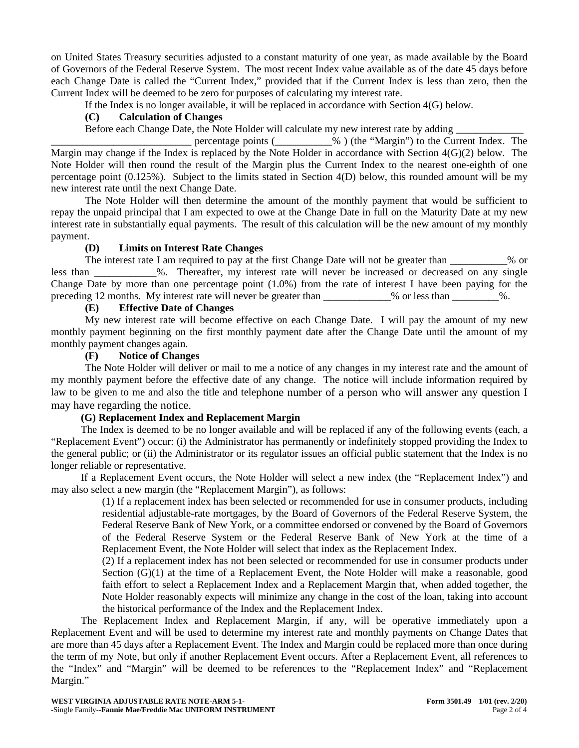on United States Treasury securities adjusted to a constant maturity of one year, as made available by the Board of Governors of the Federal Reserve System. The most recent Index value available as of the date 45 days before each Change Date is called the "Current Index," provided that if the Current Index is less than zero, then the Current Index will be deemed to be zero for purposes of calculating my interest rate.

If the Index is no longer available, it will be replaced in accordance with Section 4(G) below.

### **(C) Calculation of Changes**

Before each Change Date, the Note Holder will calculate my new interest rate by adding \_\_\_\_\_\_\_\_\_\_\_\_\_

 $\mathcal{L}_{\infty}$  (the "Margin") to the Current Index. The Margin may change if the Index is replaced by the Note Holder in accordance with Section 4(G)(2) below. The Note Holder will then round the result of the Margin plus the Current Index to the nearest one-eighth of one percentage point (0.125%). Subject to the limits stated in Section 4(D) below, this rounded amount will be my new interest rate until the next Change Date.

The Note Holder will then determine the amount of the monthly payment that would be sufficient to repay the unpaid principal that I am expected to owe at the Change Date in full on the Maturity Date at my new interest rate in substantially equal payments. The result of this calculation will be the new amount of my monthly payment.

#### **(D) Limits on Interest Rate Changes**

The interest rate I am required to pay at the first Change Date will not be greater than \_\_\_\_\_\_\_\_\_\_% or less than  $\%$ . Thereafter, my interest rate will never be increased or decreased on any single Change Date by more than one percentage point (1.0%) from the rate of interest I have been paying for the preceding 12 months. My interest rate will never be greater than  $\%$  or less than  $\%$ .

## **(E) Effective Date of Changes**

My new interest rate will become effective on each Change Date. I will pay the amount of my new monthly payment beginning on the first monthly payment date after the Change Date until the amount of my monthly payment changes again.

#### **(F) Notice of Changes**

The Note Holder will deliver or mail to me a notice of any changes in my interest rate and the amount of my monthly payment before the effective date of any change. The notice will include information required by law to be given to me and also the title and telephone number of a person who will answer any question I may have regarding the notice.

### **(G) Replacement Index and Replacement Margin**

The Index is deemed to be no longer available and will be replaced if any of the following events (each, a "Replacement Event") occur: (i) the Administrator has permanently or indefinitely stopped providing the Index to the general public; or (ii) the Administrator or its regulator issues an official public statement that the Index is no longer reliable or representative.

If a Replacement Event occurs, the Note Holder will select a new index (the "Replacement Index") and may also select a new margin (the "Replacement Margin"), as follows:

(1) If a replacement index has been selected or recommended for use in consumer products, including residential adjustable-rate mortgages, by the Board of Governors of the Federal Reserve System, the Federal Reserve Bank of New York, or a committee endorsed or convened by the Board of Governors of the Federal Reserve System or the Federal Reserve Bank of New York at the time of a Replacement Event, the Note Holder will select that index as the Replacement Index.

(2) If a replacement index has not been selected or recommended for use in consumer products under Section (G)(1) at the time of a Replacement Event, the Note Holder will make a reasonable, good faith effort to select a Replacement Index and a Replacement Margin that, when added together, the Note Holder reasonably expects will minimize any change in the cost of the loan, taking into account the historical performance of the Index and the Replacement Index.

The Replacement Index and Replacement Margin, if any, will be operative immediately upon a Replacement Event and will be used to determine my interest rate and monthly payments on Change Dates that are more than 45 days after a Replacement Event. The Index and Margin could be replaced more than once during the term of my Note, but only if another Replacement Event occurs. After a Replacement Event, all references to the "Index" and "Margin" will be deemed to be references to the "Replacement Index" and "Replacement Margin."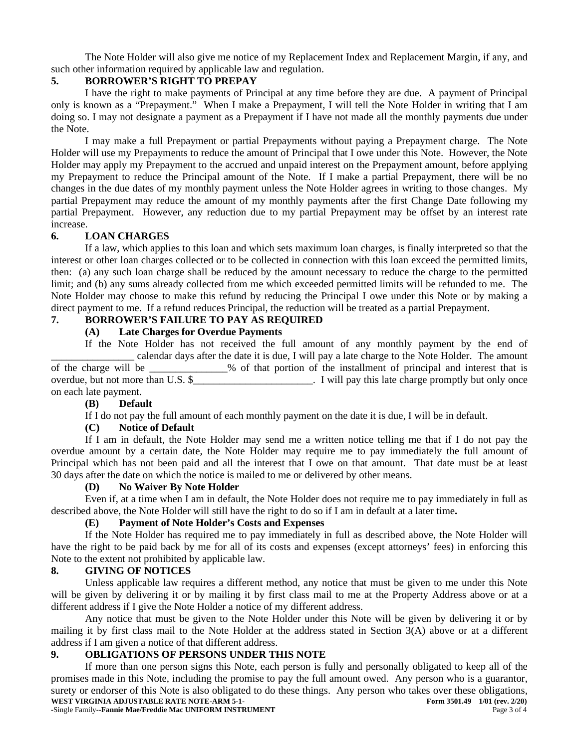The Note Holder will also give me notice of my Replacement Index and Replacement Margin, if any, and such other information required by applicable law and regulation.

### **5. BORROWER'S RIGHT TO PREPAY**

I have the right to make payments of Principal at any time before they are due. A payment of Principal only is known as a "Prepayment." When I make a Prepayment, I will tell the Note Holder in writing that I am doing so. I may not designate a payment as a Prepayment if I have not made all the monthly payments due under the Note.

I may make a full Prepayment or partial Prepayments without paying a Prepayment charge. The Note Holder will use my Prepayments to reduce the amount of Principal that I owe under this Note. However, the Note Holder may apply my Prepayment to the accrued and unpaid interest on the Prepayment amount, before applying my Prepayment to reduce the Principal amount of the Note. If I make a partial Prepayment, there will be no changes in the due dates of my monthly payment unless the Note Holder agrees in writing to those changes. My partial Prepayment may reduce the amount of my monthly payments after the first Change Date following my partial Prepayment. However, any reduction due to my partial Prepayment may be offset by an interest rate increase.

#### **6. LOAN CHARGES**

If a law, which applies to this loan and which sets maximum loan charges, is finally interpreted so that the interest or other loan charges collected or to be collected in connection with this loan exceed the permitted limits, then: (a) any such loan charge shall be reduced by the amount necessary to reduce the charge to the permitted limit; and (b) any sums already collected from me which exceeded permitted limits will be refunded to me. The Note Holder may choose to make this refund by reducing the Principal I owe under this Note or by making a direct payment to me. If a refund reduces Principal, the reduction will be treated as a partial Prepayment.

### **7. BORROWER'S FAILURE TO PAY AS REQUIRED**

#### **(A) Late Charges for Overdue Payments**

If the Note Holder has not received the full amount of any monthly payment by the end of \_\_\_\_\_\_\_\_\_\_\_\_\_\_\_\_ calendar days after the date it is due, I will pay a late charge to the Note Holder. The amount of the charge will be  $\%$  of that portion of the installment of principal and interest that is overdue, but not more than U.S. \$  $\blacksquare$  is invited by this late charge promptly but only once on each late payment.

#### **(B) Default**

If I do not pay the full amount of each monthly payment on the date it is due, I will be in default.

### **(C) Notice of Default**

If I am in default, the Note Holder may send me a written notice telling me that if I do not pay the overdue amount by a certain date, the Note Holder may require me to pay immediately the full amount of Principal which has not been paid and all the interest that I owe on that amount. That date must be at least 30 days after the date on which the notice is mailed to me or delivered by other means.

#### **(D) No Waiver By Note Holder**

Even if, at a time when I am in default, the Note Holder does not require me to pay immediately in full as described above, the Note Holder will still have the right to do so if I am in default at a later time**.**

#### **(E) Payment of Note Holder's Costs and Expenses**

If the Note Holder has required me to pay immediately in full as described above, the Note Holder will have the right to be paid back by me for all of its costs and expenses (except attorneys' fees) in enforcing this Note to the extent not prohibited by applicable law.

#### **8. GIVING OF NOTICES**

Unless applicable law requires a different method, any notice that must be given to me under this Note will be given by delivering it or by mailing it by first class mail to me at the Property Address above or at a different address if I give the Note Holder a notice of my different address.

Any notice that must be given to the Note Holder under this Note will be given by delivering it or by mailing it by first class mail to the Note Holder at the address stated in Section 3(A) above or at a different address if I am given a notice of that different address.

### **9. OBLIGATIONS OF PERSONS UNDER THIS NOTE**

**WEST VIRGINIA ADJUSTABLE RATE NOTE-ARM 5-1- Form 3501.49 Form 3501.49** 1/01 (rev. 2/20) -Single Family--**Fannie Mae/Freddie Mac UNIFORM INSTRUMENT** Page 3 of 4 If more than one person signs this Note, each person is fully and personally obligated to keep all of the promises made in this Note, including the promise to pay the full amount owed. Any person who is a guarantor, surety or endorser of this Note is also obligated to do these things. Any person who takes over these obligations,